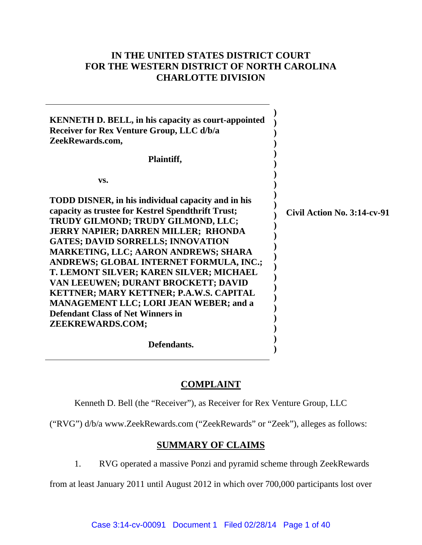## **IN THE UNITED STATES DISTRICT COURT FOR THE WESTERN DISTRICT OF NORTH CAROLINA CHARLOTTE DIVISION**

| <b>KENNETH D. BELL, in his capacity as court-appointed</b><br>Receiver for Rex Venture Group, LLC d/b/a<br>ZeekRewards.com,<br>Plaintiff,                                                                                                                                                                                                                                                                                                                                                                                                                                               |                             |
|-----------------------------------------------------------------------------------------------------------------------------------------------------------------------------------------------------------------------------------------------------------------------------------------------------------------------------------------------------------------------------------------------------------------------------------------------------------------------------------------------------------------------------------------------------------------------------------------|-----------------------------|
| VS.                                                                                                                                                                                                                                                                                                                                                                                                                                                                                                                                                                                     |                             |
| <b>TODD DISNER, in his individual capacity and in his</b><br>capacity as trustee for Kestrel Spendthrift Trust;<br>TRUDY GILMOND; TRUDY GILMOND, LLC;<br><b>JERRY NAPIER; DARREN MILLER; RHONDA</b><br><b>GATES; DAVID SORRELLS; INNOVATION</b><br><b>MARKETING, LLC; AARON ANDREWS; SHARA</b><br>ANDREWS; GLOBAL INTERNET FORMULA, INC.;<br>T. LEMONT SILVER; KAREN SILVER; MICHAEL<br>VAN LEEUWEN; DURANT BROCKETT; DAVID<br>KETTNER; MARY KETTNER; P.A.W.S. CAPITAL<br><b>MANAGEMENT LLC; LORI JEAN WEBER; and a</b><br><b>Defendant Class of Net Winners in</b><br>ZEEKREWARDS.COM; | Civil Action No. 3:14-cv-91 |
| Defendants.                                                                                                                                                                                                                                                                                                                                                                                                                                                                                                                                                                             |                             |

## **COMPLAINT**

Kenneth D. Bell (the "Receiver"), as Receiver for Rex Venture Group, LLC

("RVG") d/b/a www.ZeekRewards.com ("ZeekRewards" or "Zeek"), alleges as follows:

## **SUMMARY OF CLAIMS**

1. RVG operated a massive Ponzi and pyramid scheme through ZeekRewards

from at least January 2011 until August 2012 in which over 700,000 participants lost over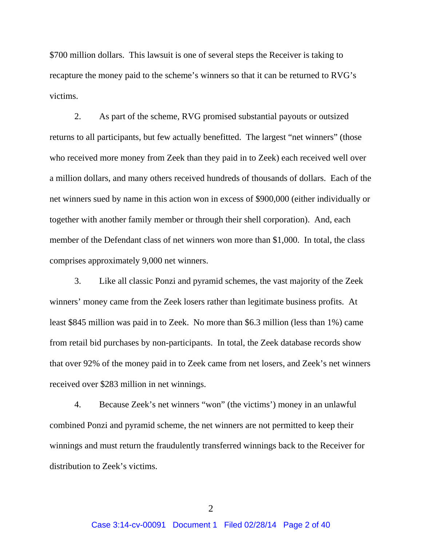\$700 million dollars. This lawsuit is one of several steps the Receiver is taking to recapture the money paid to the scheme's winners so that it can be returned to RVG's victims.

2. As part of the scheme, RVG promised substantial payouts or outsized returns to all participants, but few actually benefitted. The largest "net winners" (those who received more money from Zeek than they paid in to Zeek) each received well over a million dollars, and many others received hundreds of thousands of dollars. Each of the net winners sued by name in this action won in excess of \$900,000 (either individually or together with another family member or through their shell corporation). And, each member of the Defendant class of net winners won more than \$1,000. In total, the class comprises approximately 9,000 net winners.

3. Like all classic Ponzi and pyramid schemes, the vast majority of the Zeek winners' money came from the Zeek losers rather than legitimate business profits. At least \$845 million was paid in to Zeek. No more than \$6.3 million (less than 1%) came from retail bid purchases by non-participants. In total, the Zeek database records show that over 92% of the money paid in to Zeek came from net losers, and Zeek's net winners received over \$283 million in net winnings.

4. Because Zeek's net winners "won" (the victims') money in an unlawful combined Ponzi and pyramid scheme, the net winners are not permitted to keep their winnings and must return the fraudulently transferred winnings back to the Receiver for distribution to Zeek's victims.

 $\mathcal{L}$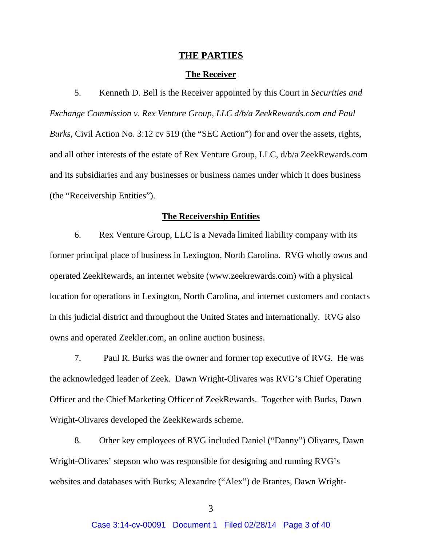#### **THE PARTIES**

#### **The Receiver**

5. Kenneth D. Bell is the Receiver appointed by this Court in *Securities and Exchange Commission v. Rex Venture Group, LLC d/b/a ZeekRewards.com and Paul Burks*, Civil Action No. 3:12 cv 519 (the "SEC Action") for and over the assets, rights, and all other interests of the estate of Rex Venture Group, LLC, d/b/a ZeekRewards.com and its subsidiaries and any businesses or business names under which it does business (the "Receivership Entities").

#### **The Receivership Entities**

6. Rex Venture Group, LLC is a Nevada limited liability company with its former principal place of business in Lexington, North Carolina. RVG wholly owns and operated ZeekRewards, an internet website (www.zeekrewards.com) with a physical location for operations in Lexington, North Carolina, and internet customers and contacts in this judicial district and throughout the United States and internationally. RVG also owns and operated Zeekler.com, an online auction business.

7. Paul R. Burks was the owner and former top executive of RVG. He was the acknowledged leader of Zeek. Dawn Wright-Olivares was RVG's Chief Operating Officer and the Chief Marketing Officer of ZeekRewards. Together with Burks, Dawn Wright-Olivares developed the ZeekRewards scheme.

8. Other key employees of RVG included Daniel ("Danny") Olivares, Dawn Wright-Olivares' stepson who was responsible for designing and running RVG's websites and databases with Burks; Alexandre ("Alex") de Brantes, Dawn Wright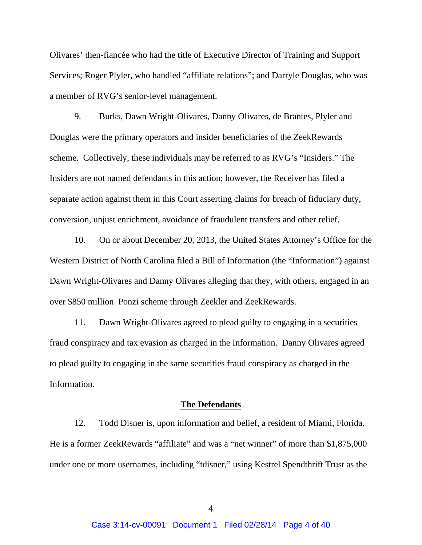Olivares' then-fiancée who had the title of Executive Director of Training and Support Services; Roger Plyler, who handled "affiliate relations"; and Darryle Douglas, who was a member of RVG's senior-level management.

9. Burks, Dawn Wright-Olivares, Danny Olivares, de Brantes, Plyler and Douglas were the primary operators and insider beneficiaries of the ZeekRewards scheme. Collectively, these individuals may be referred to as RVG's "Insiders." The Insiders are not named defendants in this action; however, the Receiver has filed a separate action against them in this Court asserting claims for breach of fiduciary duty, conversion, unjust enrichment, avoidance of fraudulent transfers and other relief.

10. On or about December 20, 2013, the United States Attorney's Office for the Western District of North Carolina filed a Bill of Information (the "Information") against Dawn Wright-Olivares and Danny Olivares alleging that they, with others, engaged in an over \$850 million Ponzi scheme through Zeekler and ZeekRewards.

11. Dawn Wright-Olivares agreed to plead guilty to engaging in a securities fraud conspiracy and tax evasion as charged in the Information. Danny Olivares agreed to plead guilty to engaging in the same securities fraud conspiracy as charged in the Information.

#### **The Defendants**

12. Todd Disner is, upon information and belief, a resident of Miami, Florida. He is a former ZeekRewards "affiliate" and was a "net winner" of more than \$1,875,000 under one or more usernames, including "tdisner," using Kestrel Spendthrift Trust as the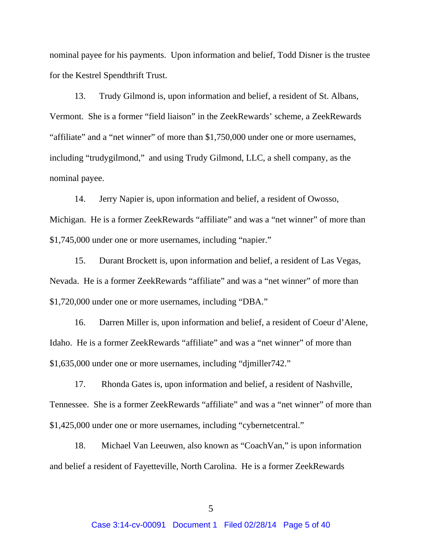nominal payee for his payments. Upon information and belief, Todd Disner is the trustee for the Kestrel Spendthrift Trust.

13. Trudy Gilmond is, upon information and belief, a resident of St. Albans, Vermont. She is a former "field liaison" in the ZeekRewards' scheme, a ZeekRewards "affiliate" and a "net winner" of more than \$1,750,000 under one or more usernames, including "trudygilmond," and using Trudy Gilmond, LLC, a shell company, as the nominal payee.

14. Jerry Napier is, upon information and belief, a resident of Owosso, Michigan. He is a former ZeekRewards "affiliate" and was a "net winner" of more than \$1,745,000 under one or more usernames, including "napier."

15. Durant Brockett is, upon information and belief, a resident of Las Vegas, Nevada. He is a former ZeekRewards "affiliate" and was a "net winner" of more than \$1,720,000 under one or more usernames, including "DBA."

16. Darren Miller is, upon information and belief, a resident of Coeur d'Alene, Idaho. He is a former ZeekRewards "affiliate" and was a "net winner" of more than \$1,635,000 under one or more usernames, including "djmiller742."

17. Rhonda Gates is, upon information and belief, a resident of Nashville, Tennessee. She is a former ZeekRewards "affiliate" and was a "net winner" of more than \$1,425,000 under one or more usernames, including "cybernetcentral."

18. Michael Van Leeuwen, also known as "CoachVan," is upon information and belief a resident of Fayetteville, North Carolina. He is a former ZeekRewards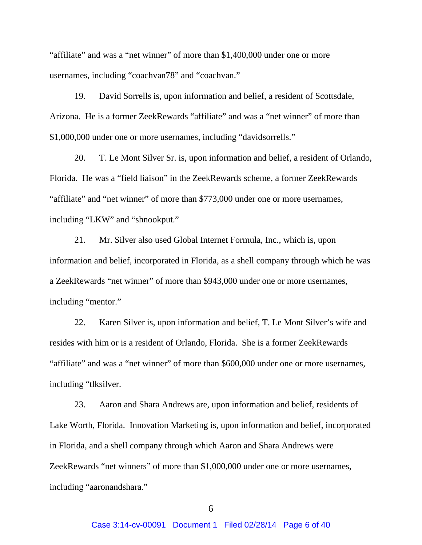"affiliate" and was a "net winner" of more than \$1,400,000 under one or more usernames, including "coachvan78" and "coachvan."

19. David Sorrells is, upon information and belief, a resident of Scottsdale, Arizona. He is a former ZeekRewards "affiliate" and was a "net winner" of more than \$1,000,000 under one or more usernames, including "davidsorrells."

20. T. Le Mont Silver Sr. is, upon information and belief, a resident of Orlando, Florida. He was a "field liaison" in the ZeekRewards scheme, a former ZeekRewards "affiliate" and "net winner" of more than \$773,000 under one or more usernames, including "LKW" and "shnookput."

21. Mr. Silver also used Global Internet Formula, Inc., which is, upon information and belief, incorporated in Florida, as a shell company through which he was a ZeekRewards "net winner" of more than \$943,000 under one or more usernames, including "mentor."

22. Karen Silver is, upon information and belief, T. Le Mont Silver's wife and resides with him or is a resident of Orlando, Florida. She is a former ZeekRewards "affiliate" and was a "net winner" of more than \$600,000 under one or more usernames, including "tlksilver.

23. Aaron and Shara Andrews are, upon information and belief, residents of Lake Worth, Florida. Innovation Marketing is, upon information and belief, incorporated in Florida, and a shell company through which Aaron and Shara Andrews were ZeekRewards "net winners" of more than \$1,000,000 under one or more usernames, including "aaronandshara."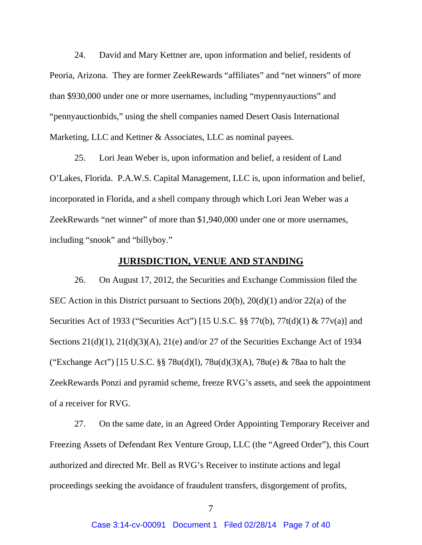24. David and Mary Kettner are, upon information and belief, residents of Peoria, Arizona. They are former ZeekRewards "affiliates" and "net winners" of more than \$930,000 under one or more usernames, including "mypennyauctions" and "pennyauctionbids," using the shell companies named Desert Oasis International Marketing, LLC and Kettner & Associates, LLC as nominal payees.

25. Lori Jean Weber is, upon information and belief, a resident of Land O'Lakes, Florida. P.A.W.S. Capital Management, LLC is, upon information and belief, incorporated in Florida, and a shell company through which Lori Jean Weber was a ZeekRewards "net winner" of more than \$1,940,000 under one or more usernames, including "snook" and "billyboy."

## **JURISDICTION, VENUE AND STANDING**

26. On August 17, 2012, the Securities and Exchange Commission filed the SEC Action in this District pursuant to Sections 20(b), 20(d)(1) and/or 22(a) of the Securities Act of 1933 ("Securities Act") [15 U.S.C. §§ 77t(b), 77t(d)(1) & 77v(a)] and Sections  $21(d)(1)$ ,  $21(d)(3)(A)$ ,  $21(e)$  and/or 27 of the Securities Exchange Act of 1934 ("Exchange Act") [15 U.S.C. §§ 78u(d)(l), 78u(d)(3)(A), 78u(e) & 78aa to halt the ZeekRewards Ponzi and pyramid scheme, freeze RVG's assets, and seek the appointment of a receiver for RVG.

27. On the same date, in an Agreed Order Appointing Temporary Receiver and Freezing Assets of Defendant Rex Venture Group, LLC (the "Agreed Order"), this Court authorized and directed Mr. Bell as RVG's Receiver to institute actions and legal proceedings seeking the avoidance of fraudulent transfers, disgorgement of profits,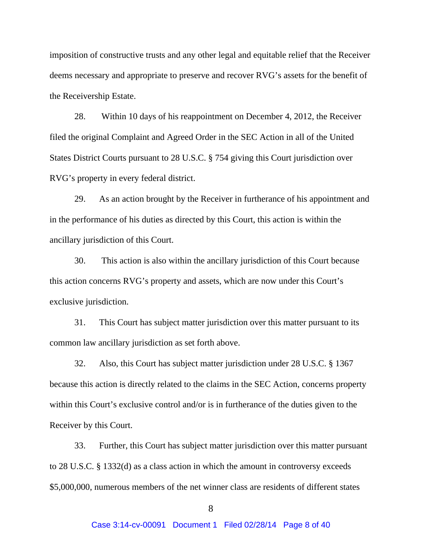imposition of constructive trusts and any other legal and equitable relief that the Receiver deems necessary and appropriate to preserve and recover RVG's assets for the benefit of the Receivership Estate.

28. Within 10 days of his reappointment on December 4, 2012, the Receiver filed the original Complaint and Agreed Order in the SEC Action in all of the United States District Courts pursuant to 28 U.S.C. § 754 giving this Court jurisdiction over RVG's property in every federal district.

29. As an action brought by the Receiver in furtherance of his appointment and in the performance of his duties as directed by this Court, this action is within the ancillary jurisdiction of this Court.

30. This action is also within the ancillary jurisdiction of this Court because this action concerns RVG's property and assets, which are now under this Court's exclusive jurisdiction.

31. This Court has subject matter jurisdiction over this matter pursuant to its common law ancillary jurisdiction as set forth above.

32. Also, this Court has subject matter jurisdiction under 28 U.S.C. § 1367 because this action is directly related to the claims in the SEC Action, concerns property within this Court's exclusive control and/or is in furtherance of the duties given to the Receiver by this Court.

33. Further, this Court has subject matter jurisdiction over this matter pursuant to 28 U.S.C. § 1332(d) as a class action in which the amount in controversy exceeds \$5,000,000, numerous members of the net winner class are residents of different states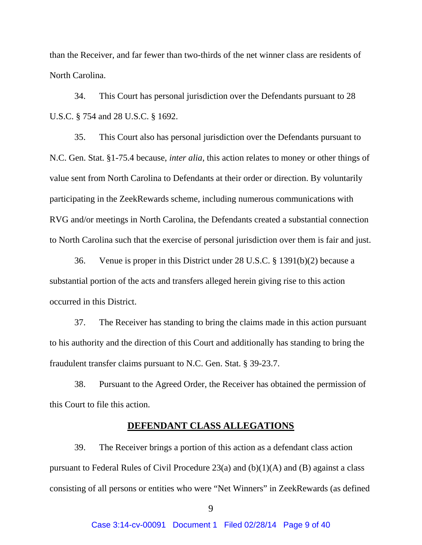than the Receiver, and far fewer than two-thirds of the net winner class are residents of North Carolina.

34. This Court has personal jurisdiction over the Defendants pursuant to 28 U.S.C. § 754 and 28 U.S.C. § 1692.

35. This Court also has personal jurisdiction over the Defendants pursuant to N.C. Gen. Stat. §1-75.4 because, *inter alia*, this action relates to money or other things of value sent from North Carolina to Defendants at their order or direction. By voluntarily participating in the ZeekRewards scheme, including numerous communications with RVG and/or meetings in North Carolina, the Defendants created a substantial connection to North Carolina such that the exercise of personal jurisdiction over them is fair and just.

36. Venue is proper in this District under 28 U.S.C. § 1391(b)(2) because a substantial portion of the acts and transfers alleged herein giving rise to this action occurred in this District.

37. The Receiver has standing to bring the claims made in this action pursuant to his authority and the direction of this Court and additionally has standing to bring the fraudulent transfer claims pursuant to N.C. Gen. Stat. § 39-23.7.

38. Pursuant to the Agreed Order, the Receiver has obtained the permission of this Court to file this action.

#### **DEFENDANT CLASS ALLEGATIONS**

39. The Receiver brings a portion of this action as a defendant class action pursuant to Federal Rules of Civil Procedure 23(a) and  $(b)(1)(A)$  and  $(B)$  against a class consisting of all persons or entities who were "Net Winners" in ZeekRewards (as defined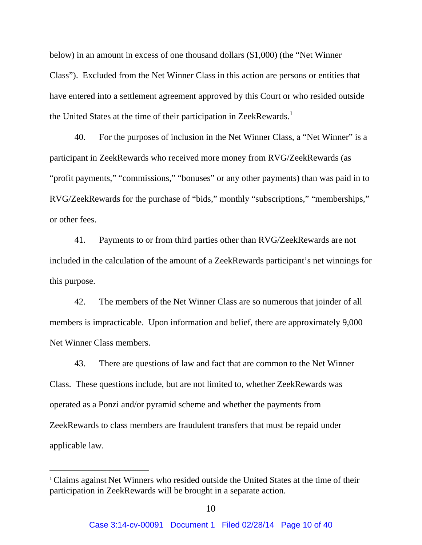below) in an amount in excess of one thousand dollars (\$1,000) (the "Net Winner Class"). Excluded from the Net Winner Class in this action are persons or entities that have entered into a settlement agreement approved by this Court or who resided outside the United States at the time of their participation in ZeekRewards.<sup>1</sup>

40. For the purposes of inclusion in the Net Winner Class, a "Net Winner" is a participant in ZeekRewards who received more money from RVG/ZeekRewards (as "profit payments," "commissions," "bonuses" or any other payments) than was paid in to RVG/ZeekRewards for the purchase of "bids," monthly "subscriptions," "memberships," or other fees.

41. Payments to or from third parties other than RVG/ZeekRewards are not included in the calculation of the amount of a ZeekRewards participant's net winnings for this purpose.

42. The members of the Net Winner Class are so numerous that joinder of all members is impracticable. Upon information and belief, there are approximately 9,000 Net Winner Class members.

43. There are questions of law and fact that are common to the Net Winner Class. These questions include, but are not limited to, whether ZeekRewards was operated as a Ponzi and/or pyramid scheme and whether the payments from ZeekRewards to class members are fraudulent transfers that must be repaid under applicable law.

 $\overline{a}$ 

<sup>&</sup>lt;sup>1</sup> Claims against Net Winners who resided outside the United States at the time of their participation in ZeekRewards will be brought in a separate action.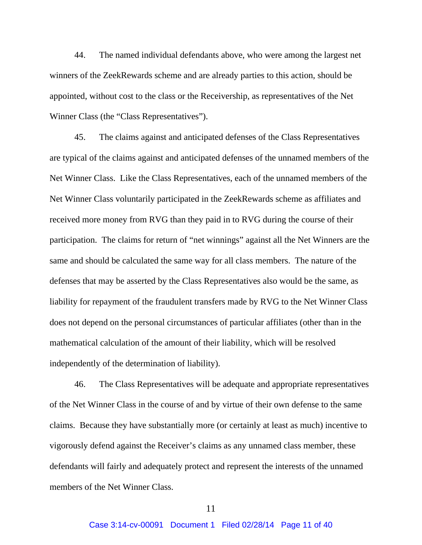44. The named individual defendants above, who were among the largest net winners of the ZeekRewards scheme and are already parties to this action, should be appointed, without cost to the class or the Receivership, as representatives of the Net Winner Class (the "Class Representatives").

45. The claims against and anticipated defenses of the Class Representatives are typical of the claims against and anticipated defenses of the unnamed members of the Net Winner Class. Like the Class Representatives, each of the unnamed members of the Net Winner Class voluntarily participated in the ZeekRewards scheme as affiliates and received more money from RVG than they paid in to RVG during the course of their participation. The claims for return of "net winnings" against all the Net Winners are the same and should be calculated the same way for all class members. The nature of the defenses that may be asserted by the Class Representatives also would be the same, as liability for repayment of the fraudulent transfers made by RVG to the Net Winner Class does not depend on the personal circumstances of particular affiliates (other than in the mathematical calculation of the amount of their liability, which will be resolved independently of the determination of liability).

46. The Class Representatives will be adequate and appropriate representatives of the Net Winner Class in the course of and by virtue of their own defense to the same claims. Because they have substantially more (or certainly at least as much) incentive to vigorously defend against the Receiver's claims as any unnamed class member, these defendants will fairly and adequately protect and represent the interests of the unnamed members of the Net Winner Class.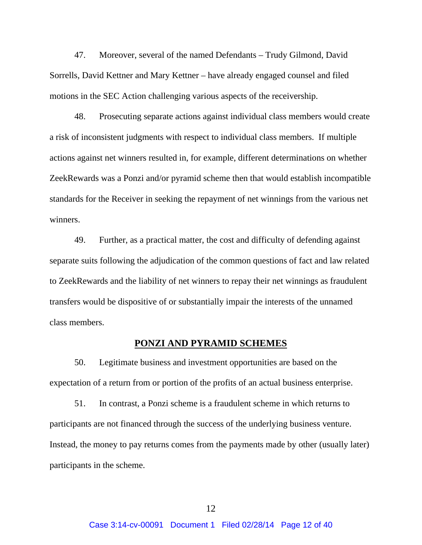47. Moreover, several of the named Defendants – Trudy Gilmond, David Sorrells, David Kettner and Mary Kettner – have already engaged counsel and filed motions in the SEC Action challenging various aspects of the receivership.

48. Prosecuting separate actions against individual class members would create a risk of inconsistent judgments with respect to individual class members. If multiple actions against net winners resulted in, for example, different determinations on whether ZeekRewards was a Ponzi and/or pyramid scheme then that would establish incompatible standards for the Receiver in seeking the repayment of net winnings from the various net winners.

49. Further, as a practical matter, the cost and difficulty of defending against separate suits following the adjudication of the common questions of fact and law related to ZeekRewards and the liability of net winners to repay their net winnings as fraudulent transfers would be dispositive of or substantially impair the interests of the unnamed class members.

#### **PONZI AND PYRAMID SCHEMES**

50. Legitimate business and investment opportunities are based on the expectation of a return from or portion of the profits of an actual business enterprise.

51. In contrast, a Ponzi scheme is a fraudulent scheme in which returns to participants are not financed through the success of the underlying business venture. Instead, the money to pay returns comes from the payments made by other (usually later) participants in the scheme.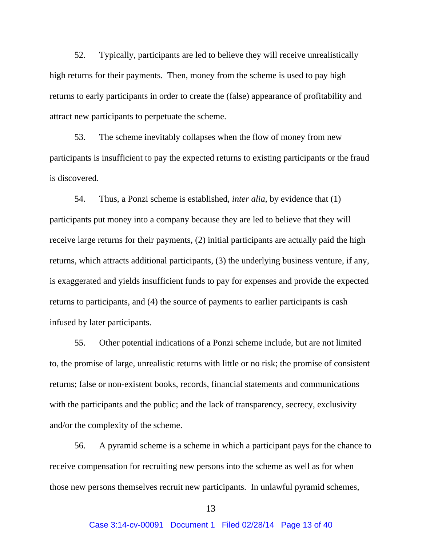52. Typically, participants are led to believe they will receive unrealistically high returns for their payments. Then, money from the scheme is used to pay high returns to early participants in order to create the (false) appearance of profitability and attract new participants to perpetuate the scheme.

53. The scheme inevitably collapses when the flow of money from new participants is insufficient to pay the expected returns to existing participants or the fraud is discovered.

54. Thus, a Ponzi scheme is established, *inter alia*, by evidence that (1) participants put money into a company because they are led to believe that they will receive large returns for their payments, (2) initial participants are actually paid the high returns, which attracts additional participants, (3) the underlying business venture, if any, is exaggerated and yields insufficient funds to pay for expenses and provide the expected returns to participants, and (4) the source of payments to earlier participants is cash infused by later participants.

55. Other potential indications of a Ponzi scheme include, but are not limited to, the promise of large, unrealistic returns with little or no risk; the promise of consistent returns; false or non-existent books, records, financial statements and communications with the participants and the public; and the lack of transparency, secrecy, exclusivity and/or the complexity of the scheme.

56. A pyramid scheme is a scheme in which a participant pays for the chance to receive compensation for recruiting new persons into the scheme as well as for when those new persons themselves recruit new participants. In unlawful pyramid schemes,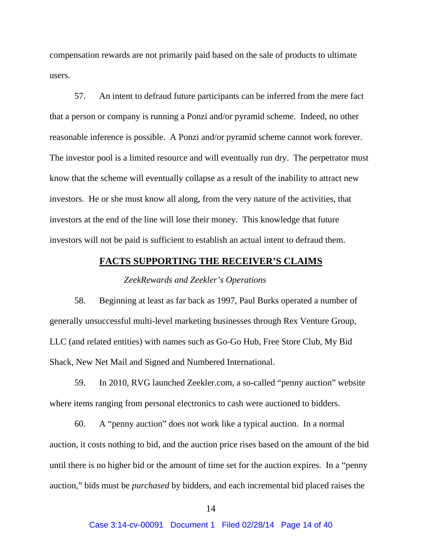compensation rewards are not primarily paid based on the sale of products to ultimate users.

57. An intent to defraud future participants can be inferred from the mere fact that a person or company is running a Ponzi and/or pyramid scheme. Indeed, no other reasonable inference is possible. A Ponzi and/or pyramid scheme cannot work forever. The investor pool is a limited resource and will eventually run dry. The perpetrator must know that the scheme will eventually collapse as a result of the inability to attract new investors. He or she must know all along, from the very nature of the activities, that investors at the end of the line will lose their money. This knowledge that future investors will not be paid is sufficient to establish an actual intent to defraud them.

## **FACTS SUPPORTING THE RECEIVER'S CLAIMS**

#### *ZeekRewards and Zeekler's Operations*

58. Beginning at least as far back as 1997, Paul Burks operated a number of generally unsuccessful multi-level marketing businesses through Rex Venture Group, LLC (and related entities) with names such as Go-Go Hub, Free Store Club, My Bid Shack, New Net Mail and Signed and Numbered International.

59. In 2010, RVG launched Zeekler.com, a so-called "penny auction" website where items ranging from personal electronics to cash were auctioned to bidders.

60. A "penny auction" does not work like a typical auction. In a normal auction, it costs nothing to bid, and the auction price rises based on the amount of the bid until there is no higher bid or the amount of time set for the auction expires. In a "penny auction," bids must be *purchased* by bidders, and each incremental bid placed raises the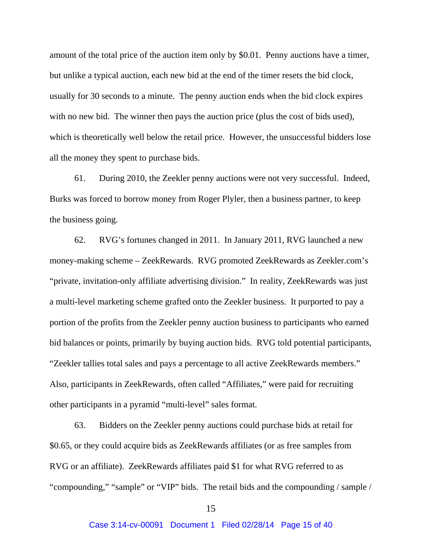amount of the total price of the auction item only by \$0.01. Penny auctions have a timer, but unlike a typical auction, each new bid at the end of the timer resets the bid clock, usually for 30 seconds to a minute. The penny auction ends when the bid clock expires with no new bid. The winner then pays the auction price (plus the cost of bids used), which is theoretically well below the retail price. However, the unsuccessful bidders lose all the money they spent to purchase bids.

61. During 2010, the Zeekler penny auctions were not very successful. Indeed, Burks was forced to borrow money from Roger Plyler, then a business partner, to keep the business going.

62. RVG's fortunes changed in 2011. In January 2011, RVG launched a new money-making scheme – ZeekRewards. RVG promoted ZeekRewards as Zeekler.com's "private, invitation-only affiliate advertising division." In reality, ZeekRewards was just a multi-level marketing scheme grafted onto the Zeekler business. It purported to pay a portion of the profits from the Zeekler penny auction business to participants who earned bid balances or points, primarily by buying auction bids. RVG told potential participants, "Zeekler tallies total sales and pays a percentage to all active ZeekRewards members." Also, participants in ZeekRewards, often called "Affiliates," were paid for recruiting other participants in a pyramid "multi-level" sales format.

63. Bidders on the Zeekler penny auctions could purchase bids at retail for \$0.65, or they could acquire bids as ZeekRewards affiliates (or as free samples from RVG or an affiliate). ZeekRewards affiliates paid \$1 for what RVG referred to as "compounding," "sample" or "VIP" bids. The retail bids and the compounding / sample /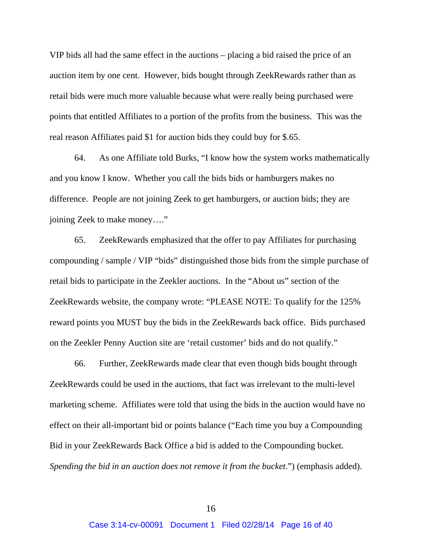VIP bids all had the same effect in the auctions – placing a bid raised the price of an auction item by one cent. However, bids bought through ZeekRewards rather than as retail bids were much more valuable because what were really being purchased were points that entitled Affiliates to a portion of the profits from the business. This was the real reason Affiliates paid \$1 for auction bids they could buy for \$.65.

64. As one Affiliate told Burks, "I know how the system works mathematically and you know I know. Whether you call the bids bids or hamburgers makes no difference. People are not joining Zeek to get hamburgers, or auction bids; they are joining Zeek to make money…."

65. ZeekRewards emphasized that the offer to pay Affiliates for purchasing compounding / sample / VIP "bids" distinguished those bids from the simple purchase of retail bids to participate in the Zeekler auctions. In the "About us" section of the ZeekRewards website, the company wrote: "PLEASE NOTE: To qualify for the 125% reward points you MUST buy the bids in the ZeekRewards back office. Bids purchased on the Zeekler Penny Auction site are 'retail customer' bids and do not qualify."

66. Further, ZeekRewards made clear that even though bids bought through ZeekRewards could be used in the auctions, that fact was irrelevant to the multi-level marketing scheme. Affiliates were told that using the bids in the auction would have no effect on their all-important bid or points balance ("Each time you buy a Compounding Bid in your ZeekRewards Back Office a bid is added to the Compounding bucket. *Spending the bid in an auction does not remove it from the bucket.*") (emphasis added).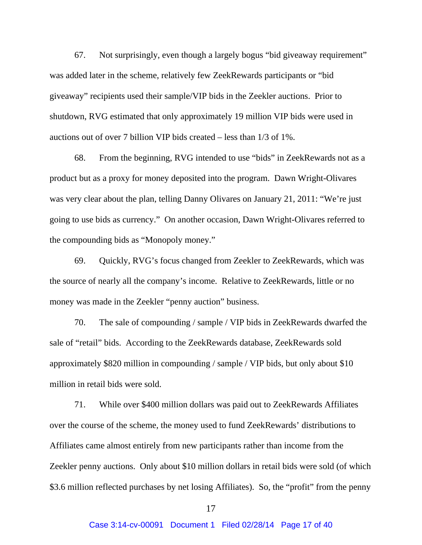67. Not surprisingly, even though a largely bogus "bid giveaway requirement" was added later in the scheme, relatively few ZeekRewards participants or "bid giveaway" recipients used their sample/VIP bids in the Zeekler auctions. Prior to shutdown, RVG estimated that only approximately 19 million VIP bids were used in auctions out of over 7 billion VIP bids created – less than 1/3 of 1%.

68. From the beginning, RVG intended to use "bids" in ZeekRewards not as a product but as a proxy for money deposited into the program. Dawn Wright-Olivares was very clear about the plan, telling Danny Olivares on January 21, 2011: "We're just going to use bids as currency." On another occasion, Dawn Wright-Olivares referred to the compounding bids as "Monopoly money."

69. Quickly, RVG's focus changed from Zeekler to ZeekRewards, which was the source of nearly all the company's income. Relative to ZeekRewards, little or no money was made in the Zeekler "penny auction" business.

70. The sale of compounding / sample / VIP bids in ZeekRewards dwarfed the sale of "retail" bids. According to the ZeekRewards database, ZeekRewards sold approximately \$820 million in compounding / sample / VIP bids, but only about \$10 million in retail bids were sold.

71. While over \$400 million dollars was paid out to ZeekRewards Affiliates over the course of the scheme, the money used to fund ZeekRewards' distributions to Affiliates came almost entirely from new participants rather than income from the Zeekler penny auctions. Only about \$10 million dollars in retail bids were sold (of which \$3.6 million reflected purchases by net losing Affiliates). So, the "profit" from the penny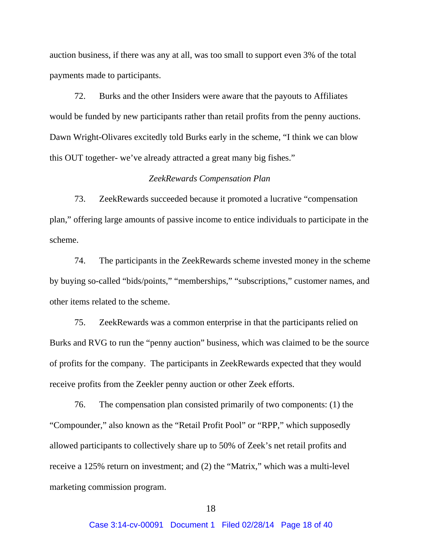auction business, if there was any at all, was too small to support even 3% of the total payments made to participants.

72. Burks and the other Insiders were aware that the payouts to Affiliates would be funded by new participants rather than retail profits from the penny auctions. Dawn Wright-Olivares excitedly told Burks early in the scheme, "I think we can blow this OUT together- we've already attracted a great many big fishes."

### *ZeekRewards Compensation Plan*

73. ZeekRewards succeeded because it promoted a lucrative "compensation plan," offering large amounts of passive income to entice individuals to participate in the scheme.

74. The participants in the ZeekRewards scheme invested money in the scheme by buying so-called "bids/points," "memberships," "subscriptions," customer names, and other items related to the scheme.

75. ZeekRewards was a common enterprise in that the participants relied on Burks and RVG to run the "penny auction" business, which was claimed to be the source of profits for the company. The participants in ZeekRewards expected that they would receive profits from the Zeekler penny auction or other Zeek efforts.

76. The compensation plan consisted primarily of two components: (1) the "Compounder," also known as the "Retail Profit Pool" or "RPP," which supposedly allowed participants to collectively share up to 50% of Zeek's net retail profits and receive a 125% return on investment; and (2) the "Matrix," which was a multi-level marketing commission program.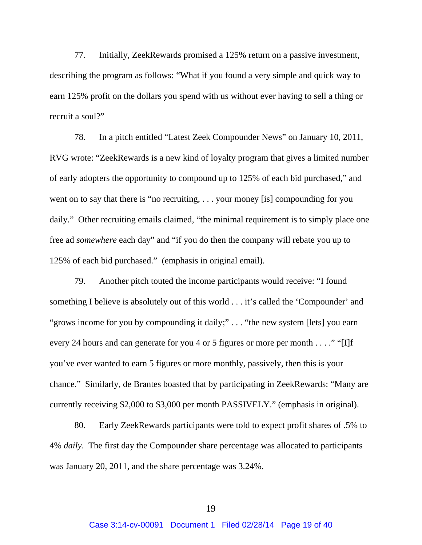77. Initially, ZeekRewards promised a 125% return on a passive investment, describing the program as follows: "What if you found a very simple and quick way to earn 125% profit on the dollars you spend with us without ever having to sell a thing or recruit a soul?"

78. In a pitch entitled "Latest Zeek Compounder News" on January 10, 2011, RVG wrote: "ZeekRewards is a new kind of loyalty program that gives a limited number of early adopters the opportunity to compound up to 125% of each bid purchased," and went on to say that there is "no recruiting, . . . your money [is] compounding for you daily." Other recruiting emails claimed, "the minimal requirement is to simply place one free ad *somewhere* each day" and "if you do then the company will rebate you up to 125% of each bid purchased." (emphasis in original email).

79. Another pitch touted the income participants would receive: "I found something I believe is absolutely out of this world . . . it's called the 'Compounder' and "grows income for you by compounding it daily;"... "the new system [lets] you earn every 24 hours and can generate for you 4 or 5 figures or more per month . . . ." "[I]f you've ever wanted to earn 5 figures or more monthly, passively, then this is your chance." Similarly, de Brantes boasted that by participating in ZeekRewards: "Many are currently receiving \$2,000 to \$3,000 per month PASSIVELY." (emphasis in original).

80. Early ZeekRewards participants were told to expect profit shares of .5% to 4% *daily*. The first day the Compounder share percentage was allocated to participants was January 20, 2011, and the share percentage was 3.24%.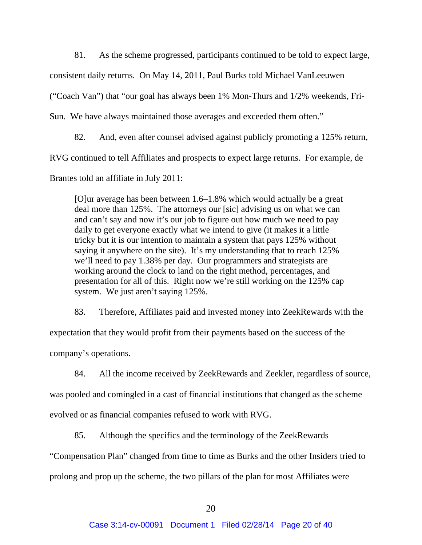81. As the scheme progressed, participants continued to be told to expect large,

consistent daily returns. On May 14, 2011, Paul Burks told Michael VanLeeuwen

("Coach Van") that "our goal has always been 1% Mon-Thurs and 1/2% weekends, Fri-

Sun. We have always maintained those averages and exceeded them often."

82. And, even after counsel advised against publicly promoting a 125% return,

RVG continued to tell Affiliates and prospects to expect large returns. For example, de

Brantes told an affiliate in July 2011:

[O]ur average has been between 1.6–1.8% which would actually be a great deal more than 125%. The attorneys our [sic] advising us on what we can and can't say and now it's our job to figure out how much we need to pay daily to get everyone exactly what we intend to give (it makes it a little tricky but it is our intention to maintain a system that pays 125% without saying it anywhere on the site). It's my understanding that to reach 125% we'll need to pay 1.38% per day. Our programmers and strategists are working around the clock to land on the right method, percentages, and presentation for all of this. Right now we're still working on the 125% cap system. We just aren't saying 125%.

83. Therefore, Affiliates paid and invested money into ZeekRewards with the expectation that they would profit from their payments based on the success of the

company's operations.

84. All the income received by ZeekRewards and Zeekler, regardless of source,

was pooled and comingled in a cast of financial institutions that changed as the scheme

evolved or as financial companies refused to work with RVG.

85. Although the specifics and the terminology of the ZeekRewards

"Compensation Plan" changed from time to time as Burks and the other Insiders tried to prolong and prop up the scheme, the two pillars of the plan for most Affiliates were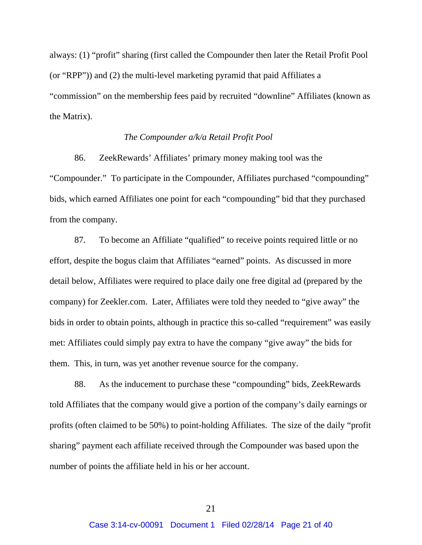always: (1) "profit" sharing (first called the Compounder then later the Retail Profit Pool (or "RPP")) and (2) the multi-level marketing pyramid that paid Affiliates a "commission" on the membership fees paid by recruited "downline" Affiliates (known as the Matrix).

### *The Compounder a/k/a Retail Profit Pool*

86. ZeekRewards' Affiliates' primary money making tool was the "Compounder." To participate in the Compounder, Affiliates purchased "compounding" bids, which earned Affiliates one point for each "compounding" bid that they purchased from the company.

87. To become an Affiliate "qualified" to receive points required little or no effort, despite the bogus claim that Affiliates "earned" points. As discussed in more detail below, Affiliates were required to place daily one free digital ad (prepared by the company) for Zeekler.com. Later, Affiliates were told they needed to "give away" the bids in order to obtain points, although in practice this so-called "requirement" was easily met: Affiliates could simply pay extra to have the company "give away" the bids for them. This, in turn, was yet another revenue source for the company.

88. As the inducement to purchase these "compounding" bids, ZeekRewards told Affiliates that the company would give a portion of the company's daily earnings or profits (often claimed to be 50%) to point-holding Affiliates. The size of the daily "profit sharing" payment each affiliate received through the Compounder was based upon the number of points the affiliate held in his or her account.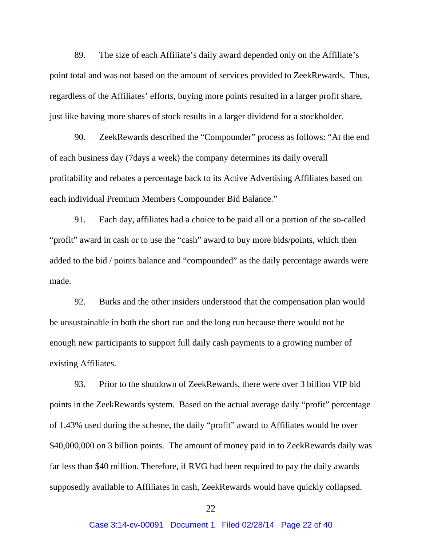89. The size of each Affiliate's daily award depended only on the Affiliate's point total and was not based on the amount of services provided to ZeekRewards. Thus, regardless of the Affiliates' efforts, buying more points resulted in a larger profit share, just like having more shares of stock results in a larger dividend for a stockholder.

90. ZeekRewards described the "Compounder" process as follows: "At the end of each business day (7days a week) the company determines its daily overall profitability and rebates a percentage back to its Active Advertising Affiliates based on each individual Premium Members Compounder Bid Balance."

91. Each day, affiliates had a choice to be paid all or a portion of the so-called "profit" award in cash or to use the "cash" award to buy more bids/points, which then added to the bid / points balance and "compounded" as the daily percentage awards were made.

92. Burks and the other insiders understood that the compensation plan would be unsustainable in both the short run and the long run because there would not be enough new participants to support full daily cash payments to a growing number of existing Affiliates.

93. Prior to the shutdown of ZeekRewards, there were over 3 billion VIP bid points in the ZeekRewards system. Based on the actual average daily "profit" percentage of 1.43% used during the scheme, the daily "profit" award to Affiliates would be over \$40,000,000 on 3 billion points. The amount of money paid in to ZeekRewards daily was far less than \$40 million. Therefore, if RVG had been required to pay the daily awards supposedly available to Affiliates in cash, ZeekRewards would have quickly collapsed.

22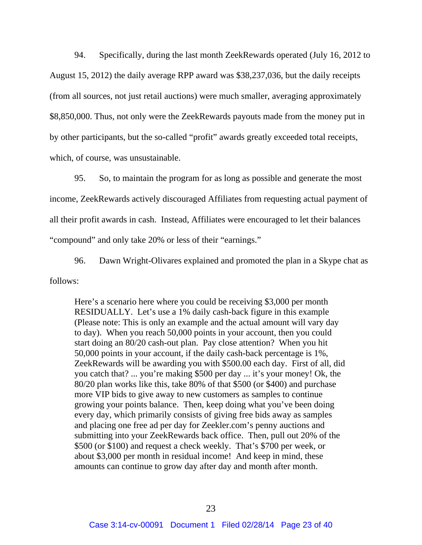94. Specifically, during the last month ZeekRewards operated (July 16, 2012 to August 15, 2012) the daily average RPP award was \$38,237,036, but the daily receipts (from all sources, not just retail auctions) were much smaller, averaging approximately \$8,850,000. Thus, not only were the ZeekRewards payouts made from the money put in by other participants, but the so-called "profit" awards greatly exceeded total receipts, which, of course, was unsustainable.

95. So, to maintain the program for as long as possible and generate the most income, ZeekRewards actively discouraged Affiliates from requesting actual payment of all their profit awards in cash. Instead, Affiliates were encouraged to let their balances "compound" and only take 20% or less of their "earnings."

96. Dawn Wright-Olivares explained and promoted the plan in a Skype chat as follows:

Here's a scenario here where you could be receiving \$3,000 per month RESIDUALLY. Let's use a 1% daily cash-back figure in this example (Please note: This is only an example and the actual amount will vary day to day). When you reach 50,000 points in your account, then you could start doing an 80/20 cash-out plan. Pay close attention? When you hit 50,000 points in your account, if the daily cash-back percentage is 1%, ZeekRewards will be awarding you with \$500.00 each day. First of all, did you catch that? ... you're making \$500 per day ... it's your money! Ok, the 80/20 plan works like this, take 80% of that \$500 (or \$400) and purchase more VIP bids to give away to new customers as samples to continue growing your points balance. Then, keep doing what you've been doing every day, which primarily consists of giving free bids away as samples and placing one free ad per day for Zeekler.com's penny auctions and submitting into your ZeekRewards back office. Then, pull out 20% of the \$500 (or \$100) and request a check weekly. That's \$700 per week, or about \$3,000 per month in residual income! And keep in mind, these amounts can continue to grow day after day and month after month.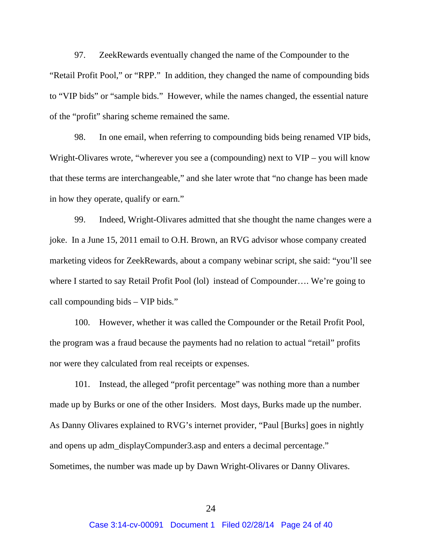97. ZeekRewards eventually changed the name of the Compounder to the "Retail Profit Pool," or "RPP." In addition, they changed the name of compounding bids to "VIP bids" or "sample bids." However, while the names changed, the essential nature of the "profit" sharing scheme remained the same.

98. In one email, when referring to compounding bids being renamed VIP bids, Wright-Olivares wrote, "wherever you see a (compounding) next to VIP – you will know that these terms are interchangeable," and she later wrote that "no change has been made in how they operate, qualify or earn."

99. Indeed, Wright-Olivares admitted that she thought the name changes were a joke. In a June 15, 2011 email to O.H. Brown, an RVG advisor whose company created marketing videos for ZeekRewards, about a company webinar script, she said: "you'll see where I started to say Retail Profit Pool (lol) instead of Compounder.... We're going to call compounding bids – VIP bids."

100. However, whether it was called the Compounder or the Retail Profit Pool, the program was a fraud because the payments had no relation to actual "retail" profits nor were they calculated from real receipts or expenses.

101. Instead, the alleged "profit percentage" was nothing more than a number made up by Burks or one of the other Insiders. Most days, Burks made up the number. As Danny Olivares explained to RVG's internet provider, "Paul [Burks] goes in nightly and opens up adm\_displayCompunder3.asp and enters a decimal percentage." Sometimes, the number was made up by Dawn Wright-Olivares or Danny Olivares.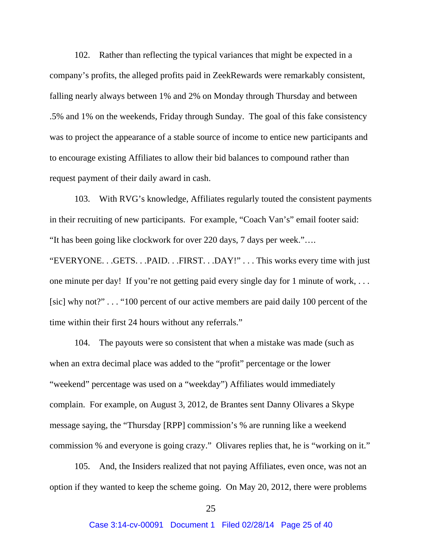102. Rather than reflecting the typical variances that might be expected in a company's profits, the alleged profits paid in ZeekRewards were remarkably consistent, falling nearly always between 1% and 2% on Monday through Thursday and between .5% and 1% on the weekends, Friday through Sunday. The goal of this fake consistency was to project the appearance of a stable source of income to entice new participants and to encourage existing Affiliates to allow their bid balances to compound rather than request payment of their daily award in cash.

103. With RVG's knowledge, Affiliates regularly touted the consistent payments in their recruiting of new participants. For example, "Coach Van's" email footer said: "It has been going like clockwork for over 220 days, 7 days per week."…. "EVERYONE. . .GETS. . .PAID. . .FIRST. . .DAY!" . . . This works every time with just one minute per day! If you're not getting paid every single day for 1 minute of work, . . .

[sic] why not?" . . . "100 percent of our active members are paid daily 100 percent of the time within their first 24 hours without any referrals."

104. The payouts were so consistent that when a mistake was made (such as when an extra decimal place was added to the "profit" percentage or the lower "weekend" percentage was used on a "weekday") Affiliates would immediately complain. For example, on August 3, 2012, de Brantes sent Danny Olivares a Skype message saying, the "Thursday [RPP] commission's % are running like a weekend commission % and everyone is going crazy." Olivares replies that, he is "working on it."

105. And, the Insiders realized that not paying Affiliates, even once, was not an option if they wanted to keep the scheme going. On May 20, 2012, there were problems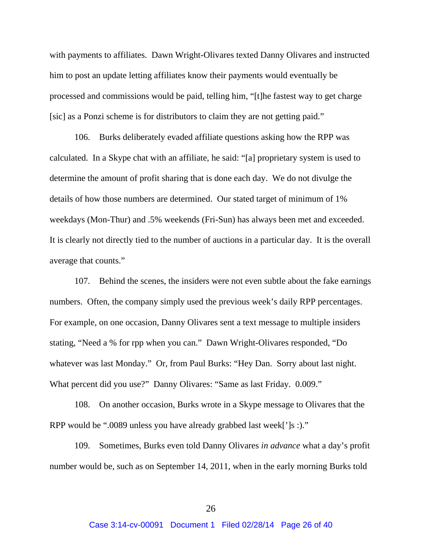with payments to affiliates. Dawn Wright-Olivares texted Danny Olivares and instructed him to post an update letting affiliates know their payments would eventually be processed and commissions would be paid, telling him, "[t]he fastest way to get charge [sic] as a Ponzi scheme is for distributors to claim they are not getting paid."

106. Burks deliberately evaded affiliate questions asking how the RPP was calculated. In a Skype chat with an affiliate, he said: "[a] proprietary system is used to determine the amount of profit sharing that is done each day. We do not divulge the details of how those numbers are determined. Our stated target of minimum of 1% weekdays (Mon-Thur) and .5% weekends (Fri-Sun) has always been met and exceeded. It is clearly not directly tied to the number of auctions in a particular day. It is the overall average that counts."

107. Behind the scenes, the insiders were not even subtle about the fake earnings numbers. Often, the company simply used the previous week's daily RPP percentages. For example, on one occasion, Danny Olivares sent a text message to multiple insiders stating, "Need a % for rpp when you can." Dawn Wright-Olivares responded, "Do whatever was last Monday." Or, from Paul Burks: "Hey Dan. Sorry about last night. What percent did you use?" Danny Olivares: "Same as last Friday. 0.009."

108. On another occasion, Burks wrote in a Skype message to Olivares that the RPP would be ".0089 unless you have already grabbed last week[']s :)."

109. Sometimes, Burks even told Danny Olivares *in advance* what a day's profit number would be, such as on September 14, 2011, when in the early morning Burks told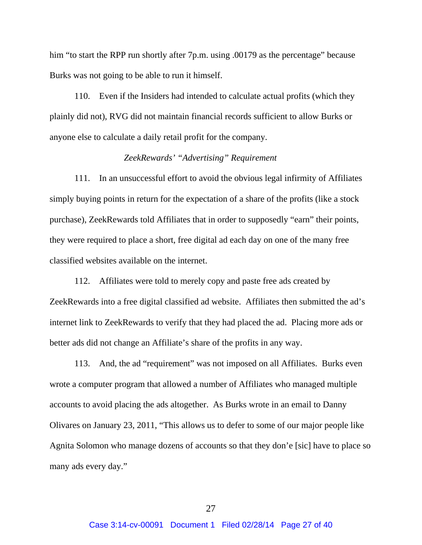him "to start the RPP run shortly after 7p.m. using .00179 as the percentage" because Burks was not going to be able to run it himself.

110. Even if the Insiders had intended to calculate actual profits (which they plainly did not), RVG did not maintain financial records sufficient to allow Burks or anyone else to calculate a daily retail profit for the company.

### *ZeekRewards' "Advertising" Requirement*

111. In an unsuccessful effort to avoid the obvious legal infirmity of Affiliates simply buying points in return for the expectation of a share of the profits (like a stock purchase), ZeekRewards told Affiliates that in order to supposedly "earn" their points, they were required to place a short, free digital ad each day on one of the many free classified websites available on the internet.

112. Affiliates were told to merely copy and paste free ads created by ZeekRewards into a free digital classified ad website. Affiliates then submitted the ad's internet link to ZeekRewards to verify that they had placed the ad. Placing more ads or better ads did not change an Affiliate's share of the profits in any way.

113. And, the ad "requirement" was not imposed on all Affiliates. Burks even wrote a computer program that allowed a number of Affiliates who managed multiple accounts to avoid placing the ads altogether. As Burks wrote in an email to Danny Olivares on January 23, 2011, "This allows us to defer to some of our major people like Agnita Solomon who manage dozens of accounts so that they don'e [sic] have to place so many ads every day."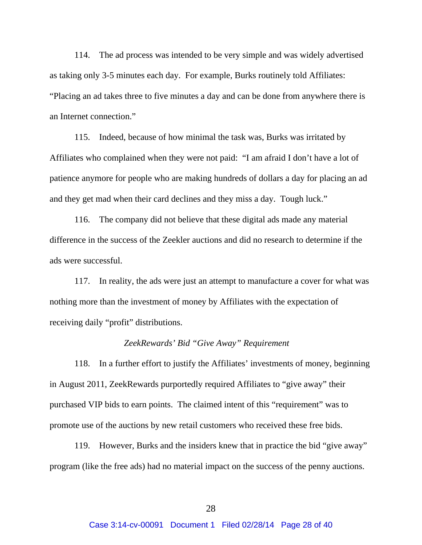114. The ad process was intended to be very simple and was widely advertised as taking only 3-5 minutes each day. For example, Burks routinely told Affiliates: "Placing an ad takes three to five minutes a day and can be done from anywhere there is an Internet connection."

115. Indeed, because of how minimal the task was, Burks was irritated by Affiliates who complained when they were not paid: "I am afraid I don't have a lot of patience anymore for people who are making hundreds of dollars a day for placing an ad and they get mad when their card declines and they miss a day. Tough luck."

116. The company did not believe that these digital ads made any material difference in the success of the Zeekler auctions and did no research to determine if the ads were successful.

117. In reality, the ads were just an attempt to manufacture a cover for what was nothing more than the investment of money by Affiliates with the expectation of receiving daily "profit" distributions.

#### *ZeekRewards' Bid "Give Away" Requirement*

118. In a further effort to justify the Affiliates' investments of money, beginning in August 2011, ZeekRewards purportedly required Affiliates to "give away" their purchased VIP bids to earn points. The claimed intent of this "requirement" was to promote use of the auctions by new retail customers who received these free bids.

119. However, Burks and the insiders knew that in practice the bid "give away" program (like the free ads) had no material impact on the success of the penny auctions.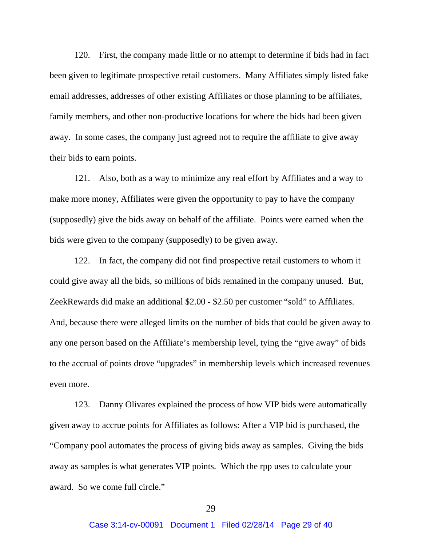120. First, the company made little or no attempt to determine if bids had in fact been given to legitimate prospective retail customers. Many Affiliates simply listed fake email addresses, addresses of other existing Affiliates or those planning to be affiliates, family members, and other non-productive locations for where the bids had been given away. In some cases, the company just agreed not to require the affiliate to give away their bids to earn points.

121. Also, both as a way to minimize any real effort by Affiliates and a way to make more money, Affiliates were given the opportunity to pay to have the company (supposedly) give the bids away on behalf of the affiliate. Points were earned when the bids were given to the company (supposedly) to be given away.

122. In fact, the company did not find prospective retail customers to whom it could give away all the bids, so millions of bids remained in the company unused. But, ZeekRewards did make an additional \$2.00 - \$2.50 per customer "sold" to Affiliates. And, because there were alleged limits on the number of bids that could be given away to any one person based on the Affiliate's membership level, tying the "give away" of bids to the accrual of points drove "upgrades" in membership levels which increased revenues even more.

123. Danny Olivares explained the process of how VIP bids were automatically given away to accrue points for Affiliates as follows: After a VIP bid is purchased, the "Company pool automates the process of giving bids away as samples. Giving the bids away as samples is what generates VIP points. Which the rpp uses to calculate your award. So we come full circle."

29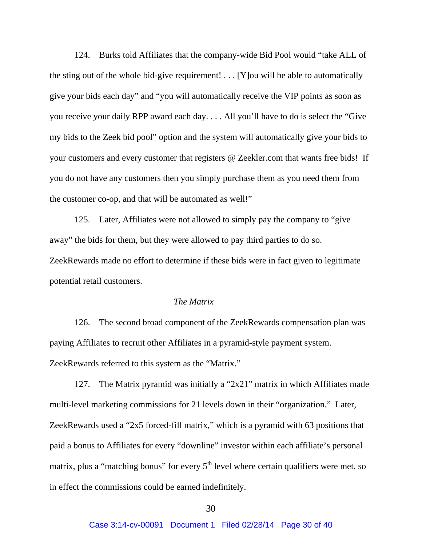124. Burks told Affiliates that the company-wide Bid Pool would "take ALL of the sting out of the whole bid-give requirement! . . . [Y]ou will be able to automatically give your bids each day" and "you will automatically receive the VIP points as soon as you receive your daily RPP award each day. . . . All you'll have to do is select the "Give my bids to the Zeek bid pool" option and the system will automatically give your bids to your customers and every customer that registers @ Zeekler.com that wants free bids! If you do not have any customers then you simply purchase them as you need them from the customer co-op, and that will be automated as well!"

125. Later, Affiliates were not allowed to simply pay the company to "give away" the bids for them, but they were allowed to pay third parties to do so. ZeekRewards made no effort to determine if these bids were in fact given to legitimate potential retail customers.

#### *The Matrix*

126. The second broad component of the ZeekRewards compensation plan was paying Affiliates to recruit other Affiliates in a pyramid-style payment system. ZeekRewards referred to this system as the "Matrix."

127. The Matrix pyramid was initially a "2x21" matrix in which Affiliates made multi-level marketing commissions for 21 levels down in their "organization." Later, ZeekRewards used a "2x5 forced-fill matrix," which is a pyramid with 63 positions that paid a bonus to Affiliates for every "downline" investor within each affiliate's personal matrix, plus a "matching bonus" for every  $5<sup>th</sup>$  level where certain qualifiers were met, so in effect the commissions could be earned indefinitely.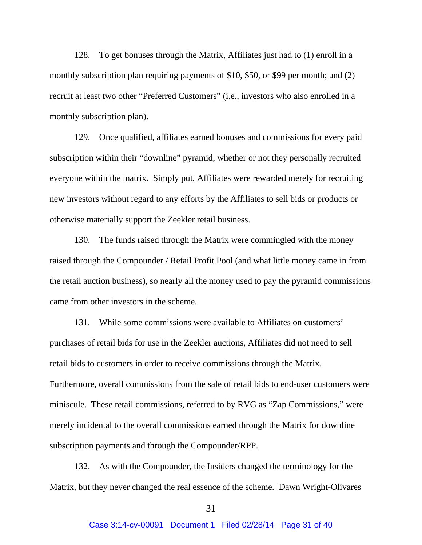128. To get bonuses through the Matrix, Affiliates just had to (1) enroll in a monthly subscription plan requiring payments of \$10, \$50, or \$99 per month; and (2) recruit at least two other "Preferred Customers" (i.e., investors who also enrolled in a monthly subscription plan).

129. Once qualified, affiliates earned bonuses and commissions for every paid subscription within their "downline" pyramid, whether or not they personally recruited everyone within the matrix. Simply put, Affiliates were rewarded merely for recruiting new investors without regard to any efforts by the Affiliates to sell bids or products or otherwise materially support the Zeekler retail business.

130. The funds raised through the Matrix were commingled with the money raised through the Compounder / Retail Profit Pool (and what little money came in from the retail auction business), so nearly all the money used to pay the pyramid commissions came from other investors in the scheme.

131. While some commissions were available to Affiliates on customers' purchases of retail bids for use in the Zeekler auctions, Affiliates did not need to sell retail bids to customers in order to receive commissions through the Matrix. Furthermore, overall commissions from the sale of retail bids to end-user customers were miniscule. These retail commissions, referred to by RVG as "Zap Commissions," were merely incidental to the overall commissions earned through the Matrix for downline subscription payments and through the Compounder/RPP.

132. As with the Compounder, the Insiders changed the terminology for the Matrix, but they never changed the real essence of the scheme. Dawn Wright-Olivares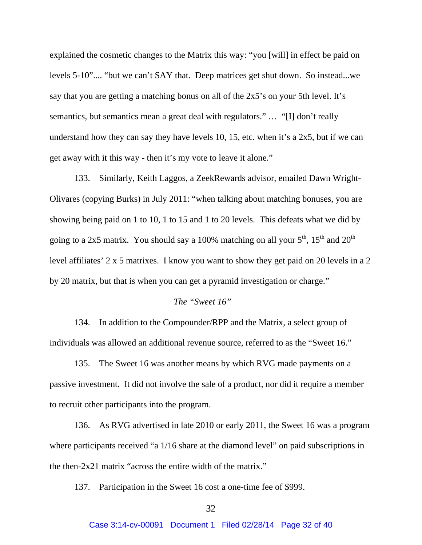explained the cosmetic changes to the Matrix this way: "you [will] in effect be paid on levels 5-10".... "but we can't SAY that. Deep matrices get shut down. So instead...we say that you are getting a matching bonus on all of the 2x5's on your 5th level. It's semantics, but semantics mean a great deal with regulators." … "[I] don't really understand how they can say they have levels 10, 15, etc. when it's a 2x5, but if we can get away with it this way - then it's my vote to leave it alone."

133. Similarly, Keith Laggos, a ZeekRewards advisor, emailed Dawn Wright-Olivares (copying Burks) in July 2011: "when talking about matching bonuses, you are showing being paid on 1 to 10, 1 to 15 and 1 to 20 levels. This defeats what we did by going to a 2x5 matrix. You should say a 100% matching on all your  $5<sup>th</sup>$ ,  $15<sup>th</sup>$  and  $20<sup>th</sup>$ level affiliates' 2 x 5 matrixes. I know you want to show they get paid on 20 levels in a 2 by 20 matrix, but that is when you can get a pyramid investigation or charge."

#### *The "Sweet 16"*

134. In addition to the Compounder/RPP and the Matrix, a select group of individuals was allowed an additional revenue source, referred to as the "Sweet 16."

135. The Sweet 16 was another means by which RVG made payments on a passive investment. It did not involve the sale of a product, nor did it require a member to recruit other participants into the program.

136. As RVG advertised in late 2010 or early 2011, the Sweet 16 was a program where participants received "a  $1/16$  share at the diamond level" on paid subscriptions in the then-2x21 matrix "across the entire width of the matrix."

137. Participation in the Sweet 16 cost a one-time fee of \$999.

#### 32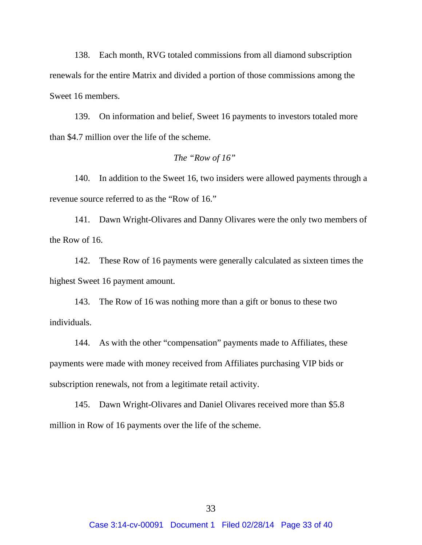138. Each month, RVG totaled commissions from all diamond subscription renewals for the entire Matrix and divided a portion of those commissions among the Sweet 16 members.

139. On information and belief, Sweet 16 payments to investors totaled more than \$4.7 million over the life of the scheme.

#### *The "Row of 16"*

140. In addition to the Sweet 16, two insiders were allowed payments through a revenue source referred to as the "Row of 16."

141. Dawn Wright-Olivares and Danny Olivares were the only two members of the Row of 16.

142. These Row of 16 payments were generally calculated as sixteen times the highest Sweet 16 payment amount.

143. The Row of 16 was nothing more than a gift or bonus to these two individuals.

144. As with the other "compensation" payments made to Affiliates, these payments were made with money received from Affiliates purchasing VIP bids or subscription renewals, not from a legitimate retail activity.

145. Dawn Wright-Olivares and Daniel Olivares received more than \$5.8 million in Row of 16 payments over the life of the scheme.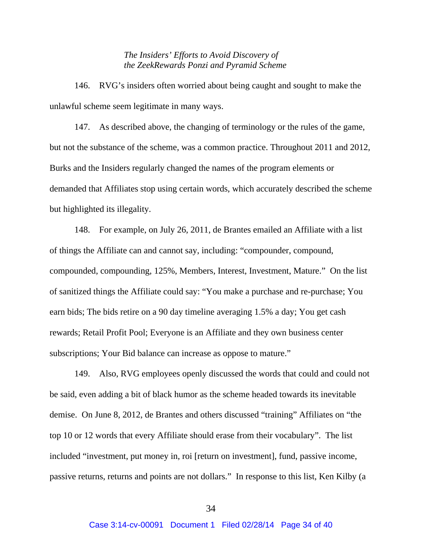*The Insiders' Efforts to Avoid Discovery of the ZeekRewards Ponzi and Pyramid Scheme* 

146. RVG's insiders often worried about being caught and sought to make the unlawful scheme seem legitimate in many ways.

147. As described above, the changing of terminology or the rules of the game, but not the substance of the scheme, was a common practice. Throughout 2011 and 2012, Burks and the Insiders regularly changed the names of the program elements or demanded that Affiliates stop using certain words, which accurately described the scheme but highlighted its illegality.

148. For example, on July 26, 2011, de Brantes emailed an Affiliate with a list of things the Affiliate can and cannot say, including: "compounder, compound, compounded, compounding, 125%, Members, Interest, Investment, Mature." On the list of sanitized things the Affiliate could say: "You make a purchase and re-purchase; You earn bids; The bids retire on a 90 day timeline averaging 1.5% a day; You get cash rewards; Retail Profit Pool; Everyone is an Affiliate and they own business center subscriptions; Your Bid balance can increase as oppose to mature."

149. Also, RVG employees openly discussed the words that could and could not be said, even adding a bit of black humor as the scheme headed towards its inevitable demise. On June 8, 2012, de Brantes and others discussed "training" Affiliates on "the top 10 or 12 words that every Affiliate should erase from their vocabulary". The list included "investment, put money in, roi [return on investment], fund, passive income, passive returns, returns and points are not dollars." In response to this list, Ken Kilby (a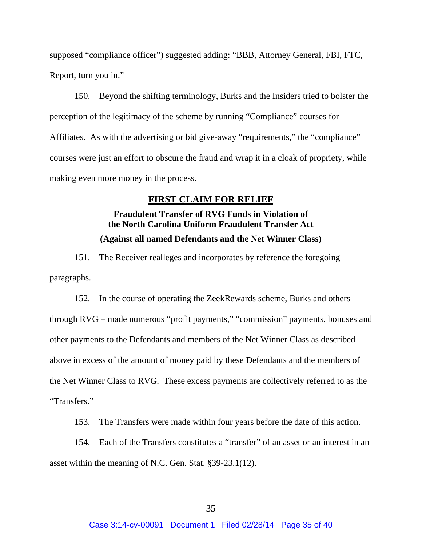supposed "compliance officer") suggested adding: "BBB, Attorney General, FBI, FTC, Report, turn you in."

150. Beyond the shifting terminology, Burks and the Insiders tried to bolster the perception of the legitimacy of the scheme by running "Compliance" courses for Affiliates. As with the advertising or bid give-away "requirements," the "compliance" courses were just an effort to obscure the fraud and wrap it in a cloak of propriety, while making even more money in the process.

### **FIRST CLAIM FOR RELIEF**

## **Fraudulent Transfer of RVG Funds in Violation of the North Carolina Uniform Fraudulent Transfer Act (Against all named Defendants and the Net Winner Class)**

151. The Receiver realleges and incorporates by reference the foregoing paragraphs.

152. In the course of operating the ZeekRewards scheme, Burks and others – through RVG – made numerous "profit payments," "commission" payments, bonuses and other payments to the Defendants and members of the Net Winner Class as described above in excess of the amount of money paid by these Defendants and the members of the Net Winner Class to RVG. These excess payments are collectively referred to as the "Transfers."

153. The Transfers were made within four years before the date of this action.

154. Each of the Transfers constitutes a "transfer" of an asset or an interest in an asset within the meaning of N.C. Gen. Stat. §39-23.1(12).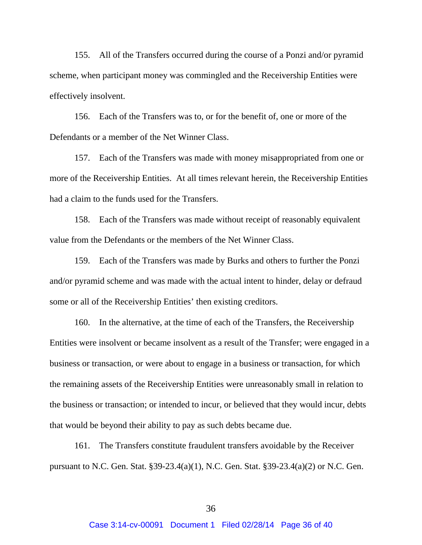155. All of the Transfers occurred during the course of a Ponzi and/or pyramid scheme, when participant money was commingled and the Receivership Entities were effectively insolvent.

156. Each of the Transfers was to, or for the benefit of, one or more of the Defendants or a member of the Net Winner Class.

157. Each of the Transfers was made with money misappropriated from one or more of the Receivership Entities. At all times relevant herein, the Receivership Entities had a claim to the funds used for the Transfers.

158. Each of the Transfers was made without receipt of reasonably equivalent value from the Defendants or the members of the Net Winner Class.

159. Each of the Transfers was made by Burks and others to further the Ponzi and/or pyramid scheme and was made with the actual intent to hinder, delay or defraud some or all of the Receivership Entities' then existing creditors.

160. In the alternative, at the time of each of the Transfers, the Receivership Entities were insolvent or became insolvent as a result of the Transfer; were engaged in a business or transaction, or were about to engage in a business or transaction, for which the remaining assets of the Receivership Entities were unreasonably small in relation to the business or transaction; or intended to incur, or believed that they would incur, debts that would be beyond their ability to pay as such debts became due.

161. The Transfers constitute fraudulent transfers avoidable by the Receiver pursuant to N.C. Gen. Stat. §39-23.4(a)(1), N.C. Gen. Stat. §39-23.4(a)(2) or N.C. Gen.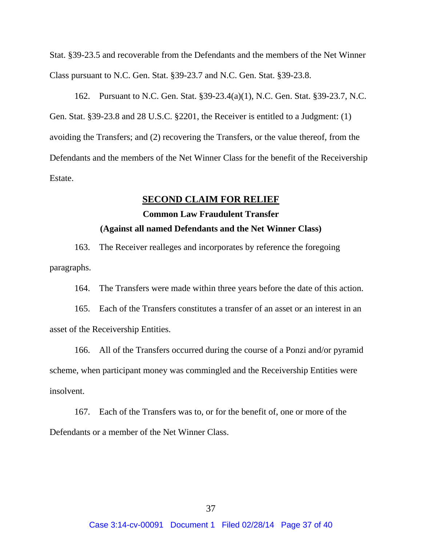Stat. §39-23.5 and recoverable from the Defendants and the members of the Net Winner Class pursuant to N.C. Gen. Stat. §39-23.7 and N.C. Gen. Stat. §39-23.8.

162. Pursuant to N.C. Gen. Stat. §39-23.4(a)(1), N.C. Gen. Stat. §39-23.7, N.C. Gen. Stat. §39-23.8 and 28 U.S.C. §2201, the Receiver is entitled to a Judgment: (1) avoiding the Transfers; and (2) recovering the Transfers, or the value thereof, from the Defendants and the members of the Net Winner Class for the benefit of the Receivership Estate.

### **SECOND CLAIM FOR RELIEF**

# **Common Law Fraudulent Transfer (Against all named Defendants and the Net Winner Class)**

163. The Receiver realleges and incorporates by reference the foregoing paragraphs.

164. The Transfers were made within three years before the date of this action.

165. Each of the Transfers constitutes a transfer of an asset or an interest in an asset of the Receivership Entities.

166. All of the Transfers occurred during the course of a Ponzi and/or pyramid scheme, when participant money was commingled and the Receivership Entities were insolvent.

167. Each of the Transfers was to, or for the benefit of, one or more of the Defendants or a member of the Net Winner Class.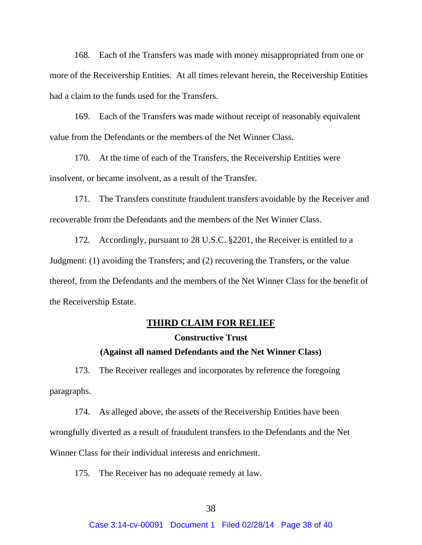168. Each of the Transfers was made with money misappropriated from one or more of the Receivership Entities. At all times relevant herein, the Receivership Entities had a claim to the funds used for the Transfers.

169. Each of the Transfers was made without receipt of reasonably equivalent value from the Defendants or the members of the Net Winner Class.

170. At the time of each of the Transfers, the Receivership Entities were insolvent, or became insolvent, as a result of the Transfer.

171. The Transfers constitute fraudulent transfers avoidable by the Receiver and recoverable from the Defendants and the members of the Net Winner Class.

172. Accordingly, pursuant to 28 U.S.C. §2201, the Receiver is entitled to a Judgment: (1) avoiding the Transfers; and (2) recovering the Transfers, or the value thereof, from the Defendants and the members of the Net Winner Class for the benefit of the Receivership Estate.

## **THIRD CLAIM FOR RELIEF**

#### **Constructive Trust**

## **(Against all named Defendants and the Net Winner Class)**

173. The Receiver realleges and incorporates by reference the foregoing paragraphs.

174. As alleged above, the assets of the Receivership Entities have been wrongfully diverted as a result of fraudulent transfers to the Defendants and the Net Winner Class for their individual interests and enrichment.

175. The Receiver has no adequate remedy at law.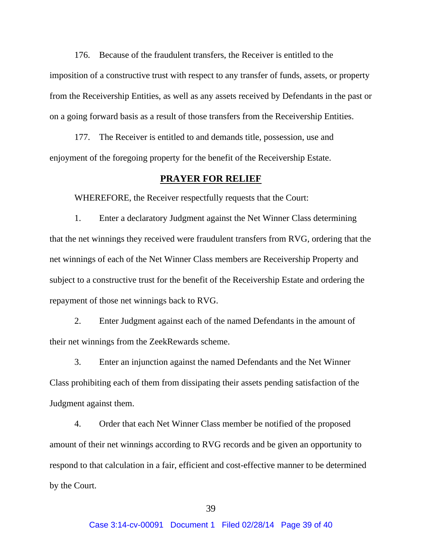176. Because of the fraudulent transfers, the Receiver is entitled to the imposition of a constructive trust with respect to any transfer of funds, assets, or property from the Receivership Entities, as well as any assets received by Defendants in the past or on a going forward basis as a result of those transfers from the Receivership Entities.

177. The Receiver is entitled to and demands title, possession, use and enjoyment of the foregoing property for the benefit of the Receivership Estate.

#### **PRAYER FOR RELIEF**

WHEREFORE, the Receiver respectfully requests that the Court:

1. Enter a declaratory Judgment against the Net Winner Class determining that the net winnings they received were fraudulent transfers from RVG, ordering that the net winnings of each of the Net Winner Class members are Receivership Property and subject to a constructive trust for the benefit of the Receivership Estate and ordering the repayment of those net winnings back to RVG.

2. Enter Judgment against each of the named Defendants in the amount of their net winnings from the ZeekRewards scheme.

3. Enter an injunction against the named Defendants and the Net Winner Class prohibiting each of them from dissipating their assets pending satisfaction of the Judgment against them.

4. Order that each Net Winner Class member be notified of the proposed amount of their net winnings according to RVG records and be given an opportunity to respond to that calculation in a fair, efficient and cost-effective manner to be determined by the Court.